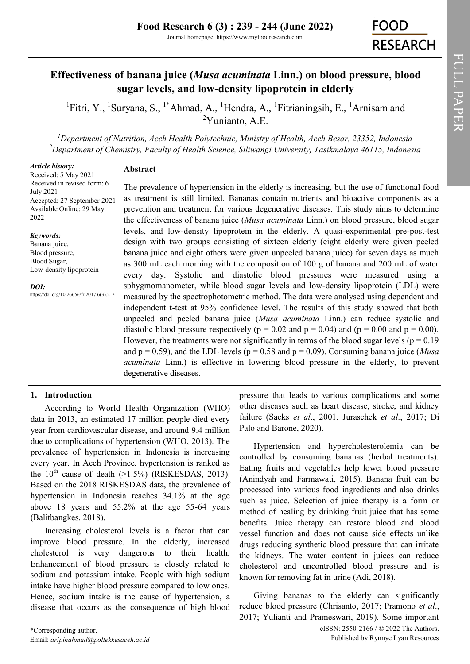# **Effectiveness of banana juice (***Musa acuminata* **Linn.) on blood pressure, blood sugar levels, and low-density lipoprotein in elderly**

<sup>1</sup>Fitri, Y., <sup>1</sup>Suryana, S., <sup>1\*</sup>Ahmad, A., <sup>1</sup>Hendra, A., <sup>1</sup>Fitrianingsih, E., <sup>1</sup>Arnisam and  $2$ Yunianto, A.E.

*<sup>1</sup>Department of Nutrition, Aceh Health Polytechnic, Ministry of Health, Aceh Besar, 23352, Indonesia <sup>2</sup>Department of Chemistry, Faculty of Health Science, Siliwangi University, Tasikmalaya 46115, Indonesia* 

#### *Article history:*

# **Abstract**

Received: 5 May 2021 Received in revised form: 6 July 2021 Accepted: 27 September 2021 Available Online: 29 May 2022

#### *Keywords:*

Banana juice, Blood pressure, Blood Sugar, Low-density lipoprotein

*DOI:*

https://doi.org/10.26656/fr.2017.6(3).213

The prevalence of hypertension in the elderly is increasing, but the use of functional food as treatment is still limited. Bananas contain nutrients and bioactive components as a prevention and treatment for various degenerative diseases. This study aims to determine the effectiveness of banana juice (*Musa acuminata* Linn.) on blood pressure, blood sugar levels, and low-density lipoprotein in the elderly. A quasi-experimental pre-post-test design with two groups consisting of sixteen elderly (eight elderly were given peeled banana juice and eight others were given unpeeled banana juice) for seven days as much as 300 mL each morning with the composition of 100 g of banana and 200 mL of water every day. Systolic and diastolic blood pressures were measured using a sphygmomanometer, while blood sugar levels and low-density lipoprotein (LDL) were measured by the spectrophotometric method. The data were analysed using dependent and independent t-test at 95% confidence level. The results of this study showed that both unpeeled and peeled banana juice (*Musa acuminata* Linn.) can reduce systolic and diastolic blood pressure respectively ( $p = 0.02$  and  $p = 0.04$ ) and ( $p = 0.00$  and  $p = 0.00$ ). However, the treatments were not significantly in terms of the blood sugar levels ( $p = 0.19$ ) and  $p = 0.59$ ), and the LDL levels ( $p = 0.58$  and  $p = 0.09$ ). Consuming banana juice (*Musa acuminata* Linn.) is effective in lowering blood pressure in the elderly, to prevent degenerative diseases.

# **1. Introduction**

According to World Health Organization (WHO) data in 2013, an estimated 17 million people died every year from cardiovascular disease, and around 9.4 million due to complications of hypertension (WHO, 2013). The prevalence of hypertension in Indonesia is increasing every year. In Aceh Province, hypertension is ranked as the  $10^{th}$  cause of death (>1.5%) (RISKESDAS, 2013). Based on the 2018 RISKESDAS data, the prevalence of hypertension in Indonesia reaches 34.1% at the age above 18 years and 55.2% at the age 55-64 years (Balitbangkes, 2018).

Increasing cholesterol levels is a factor that can improve blood pressure. In the elderly, increased cholesterol is very dangerous to their health. Enhancement of blood pressure is closely related to sodium and potassium intake. People with high sodium intake have higher blood pressure compared to low ones. Hence, sodium intake is the cause of hypertension, a disease that occurs as the consequence of high blood pressure that leads to various complications and some other diseases such as heart disease, stroke, and kidney failure (Sacks *et al*., 2001, Juraschek *et al*., 2017; Di Palo and Barone, 2020).

Hypertension and hypercholesterolemia can be controlled by consuming bananas (herbal treatments). Eating fruits and vegetables help lower blood pressure (Anindyah and Farmawati, 2015). Banana fruit can be processed into various food ingredients and also drinks such as juice. Selection of juice therapy is a form or method of healing by drinking fruit juice that has some benefits. Juice therapy can restore blood and blood vessel function and does not cause side effects unlike drugs reducing synthetic blood pressure that can irritate the kidneys. The water content in juices can reduce cholesterol and uncontrolled blood pressure and is known for removing fat in urine (Adi, 2018).

eISSN: 2550-2166 / © 2022 The Authors. Published by Rynnye Lyan Resources Giving bananas to the elderly can significantly reduce blood pressure (Chrisanto, 2017; Pramono *et al*., 2017; Yulianti and Prameswari, 2019). Some important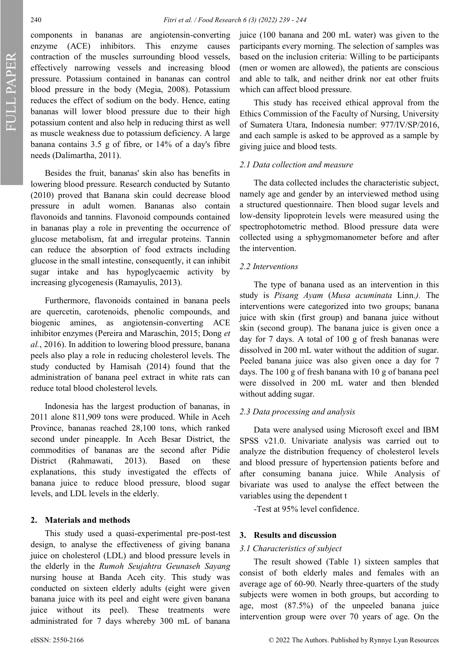FULL PAPER

components in bananas are angiotensin-converting enzyme (ACE) inhibitors. This enzyme causes contraction of the muscles surrounding blood vessels, effectively narrowing vessels and increasing blood pressure. Potassium contained in bananas can control blood pressure in the body (Megia, 2008). Potassium reduces the effect of sodium on the body. Hence, eating bananas will lower blood pressure due to their high potassium content and also help in reducing thirst as well as muscle weakness due to potassium deficiency. A large banana contains 3.5 g of fibre, or 14% of a day's fibre needs (Dalimartha, 2011).

Besides the fruit, bananas' skin also has benefits in lowering blood pressure. Research conducted by Sutanto (2010) proved that Banana skin could decrease blood pressure in adult women. Bananas also contain flavonoids and tannins. Flavonoid compounds contained in bananas play a role in preventing the occurrence of glucose metabolism, fat and irregular proteins. Tannin can reduce the absorption of food extracts including glucose in the small intestine, consequently, it can inhibit sugar intake and has hypoglycaemic activity by increasing glycogenesis (Ramayulis, 2013).

Furthermore, flavonoids contained in banana peels are quercetin, carotenoids, phenolic compounds, and biogenic amines, as angiotensin-converting ACE inhibitor enzymes (Pereira and Maraschin, 2015; Dong *et al.*, 2016). In addition to lowering blood pressure, banana peels also play a role in reducing cholesterol levels. The study conducted by Hamisah (2014) found that the administration of banana peel extract in white rats can reduce total blood cholesterol levels.

Indonesia has the largest production of bananas, in 2011 alone 811,909 tons were produced. While in Aceh Province, bananas reached 28,100 tons, which ranked second under pineapple. In Aceh Besar District, the commodities of bananas are the second after Pidie District (Rahmawati, 2013). Based on these explanations, this study investigated the effects of banana juice to reduce blood pressure, blood sugar levels, and LDL levels in the elderly.

#### **2. Materials and methods**

This study used a quasi-experimental pre-post-test design, to analyse the effectiveness of giving banana juice on cholesterol (LDL) and blood pressure levels in the elderly in the *Rumoh Seujahtra Geunaseh Sayang*  nursing house at Banda Aceh city. This study was conducted on sixteen elderly adults (eight were given banana juice with its peel and eight were given banana juice without its peel). These treatments were administrated for 7 days whereby 300 mL of banana

juice (100 banana and 200 mL water) was given to the participants every morning. The selection of samples was based on the inclusion criteria: Willing to be participants (men or women are allowed), the patients are conscious and able to talk, and neither drink nor eat other fruits which can affect blood pressure.

This study has received ethical approval from the Ethics Commission of the Faculty of Nursing, University of Sumatera Utara, Indonesia number: 977/IV/SP/2016, and each sample is asked to be approved as a sample by giving juice and blood tests.

## *2.1 Data collection and measure*

The data collected includes the characteristic subject, namely age and gender by an interviewed method using a structured questionnaire. Then blood sugar levels and low-density lipoprotein levels were measured using the spectrophotometric method. Blood pressure data were collected using a sphygmomanometer before and after the intervention.

## *2.2 Interventions*

The type of banana used as an intervention in this study is *Pisang Ayam* (*Musa acuminata* Linn.*).* The interventions were categorized into two groups; banana juice with skin (first group) and banana juice without skin (second group). The banana juice is given once a day for 7 days. A total of 100 g of fresh bananas were dissolved in 200 mL water without the addition of sugar. Peeled banana juice was also given once a day for 7 days. The 100 g of fresh banana with 10 g of banana peel were dissolved in 200 mL water and then blended without adding sugar.

## *2.3 Data processing and analysis*

Data were analysed using Microsoft excel and IBM SPSS v21.0. Univariate analysis was carried out to analyze the distribution frequency of cholesterol levels and blood pressure of hypertension patients before and after consuming banana juice. While Analysis of bivariate was used to analyse the effect between the variables using the dependent t

-Test at 95% level confidence.

#### **3. Results and discussion**

#### *3.1 Characteristics of subject*

The result showed (Table 1) sixteen samples that consist of both elderly males and females with an average age of 60-90. Nearly three-quarters of the study subjects were women in both groups, but according to age, most (87.5%) of the unpeeled banana juice intervention group were over 70 years of age. On the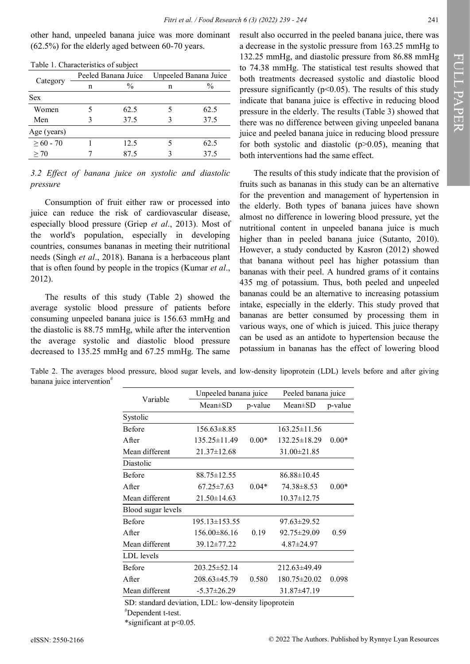other hand, unpeeled banana juice was more dominant (62.5%) for the elderly aged between 60-70 years.

| Table 1. Characteristics of subject |   |                     |                       |               |  |  |  |
|-------------------------------------|---|---------------------|-----------------------|---------------|--|--|--|
|                                     |   | Peeled Banana Juice | Unpeeled Banana Juice |               |  |  |  |
| Category                            | n | $\frac{0}{0}$       | n                     | $\frac{0}{0}$ |  |  |  |
| <b>Sex</b>                          |   |                     |                       |               |  |  |  |
| Women                               |   | 62.5                |                       | 62.5          |  |  |  |
| Men                                 | 3 | 37.5                |                       | 37.5          |  |  |  |
| Age (years)                         |   |                     |                       |               |  |  |  |
| $>60 - 70$                          |   | 12.5                |                       | 62.5          |  |  |  |
| > 70                                |   | 87.5                |                       | 37.5          |  |  |  |
|                                     |   |                     |                       |               |  |  |  |

Table 1. Characteristics of subject

|          |  |  |  | 3.2 Effect of banana juice on systolic and diastolic |
|----------|--|--|--|------------------------------------------------------|
| pressure |  |  |  |                                                      |

Consumption of fruit either raw or processed into juice can reduce the risk of cardiovascular disease, especially blood pressure (Griep *et al*., 2013). Most of the world's population, especially in developing countries, consumes bananas in meeting their nutritional needs (Singh *et al*., 2018). Banana is a herbaceous plant that is often found by people in the tropics (Kumar *et al*., 2012).

The results of this study (Table 2) showed the average systolic blood pressure of patients before consuming unpeeled banana juice is 156.63 mmHg and the diastolic is 88.75 mmHg, while after the intervention the average systolic and diastolic blood pressure decreased to 135.25 mmHg and 67.25 mmHg. The same result also occurred in the peeled banana juice, there was a decrease in the systolic pressure from 163.25 mmHg to 132.25 mmHg, and diastolic pressure from 86.88 mmHg to 74.38 mmHg. The statistical test results showed that both treatments decreased systolic and diastolic blood pressure significantly ( $p<0.05$ ). The results of this study indicate that banana juice is effective in reducing blood pressure in the elderly. The results (Table 3) showed that there was no difference between giving unpeeled banana juice and peeled banana juice in reducing blood pressure for both systolic and diastolic  $(p>0.05)$ , meaning that both interventions had the same effect.

The results of this study indicate that the provision of fruits such as bananas in this study can be an alternative for the prevention and management of hypertension in the elderly. Both types of banana juices have shown almost no difference in lowering blood pressure, yet the nutritional content in unpeeled banana juice is much higher than in peeled banana juice (Sutanto, 2010). However, a study conducted by Kasron (2012) showed that banana without peel has higher potassium than bananas with their peel. A hundred grams of it contains 435 mg of potassium. Thus, both peeled and unpeeled bananas could be an alternative to increasing potassium intake, especially in the elderly. This study proved that bananas are better consumed by processing them in various ways, one of which is juiced. This juice therapy can be used as an antidote to hypertension because the potassium in bananas has the effect of lowering blood

Table 2. The averages blood pressure, blood sugar levels, and low-density lipoprotein (LDL) levels before and after giving banana juice intervention<sup>#</sup>

|                    | Unpeeled banana juice |         | Peeled banana juice |         |  |
|--------------------|-----------------------|---------|---------------------|---------|--|
| Variable           | $Mean \pm SD$         | p-value | $Mean \pm SD$       | p-value |  |
| Systolic           |                       |         |                     |         |  |
| <b>Before</b>      | $156.63\pm8.85$       |         | $163.25 \pm 11.56$  |         |  |
| A fter             | 135.25 ± 11.49        | $0.00*$ | 132.25±18.29        | $0.00*$ |  |
| Mean different     | $21.37 \pm 12.68$     |         | $31.00 \pm 21.85$   |         |  |
| Diastolic          |                       |         |                     |         |  |
| <b>Before</b>      | $88.75 \pm 12.55$     |         | $86.88 \pm 10.45$   |         |  |
| A fter             | $67.25 \pm 7.63$      | $0.04*$ | 74.38±8.53          | $0.00*$ |  |
| Mean different     | $21.50 \pm 14.63$     |         | $10.37 \pm 12.75$   |         |  |
| Blood sugar levels |                       |         |                     |         |  |
| <b>Before</b>      | $195.13 \pm 153.55$   |         | $97.63 \pm 29.52$   |         |  |
| After              | $156.00\pm86.16$      | 0.19    | $92.75 \pm 29.09$   | 0.59    |  |
| Mean different     | 39.12±77.22           |         | $4.87 \pm 24.97$    |         |  |
| LDL levels         |                       |         |                     |         |  |
| <b>Before</b>      | $203.25 \pm 52.14$    |         | $212.63\pm49.49$    |         |  |
| After              | $208.63\pm45.79$      | 0.580   | $180.75 \pm 20.02$  | 0.098   |  |
| Mean different     | $-5.37 \pm 26.29$     |         | $31.87\pm47.19$     |         |  |

SD: standard deviation, LDL: low-density lipoprotein

#Dependent t-test.

\*significant at p<0.05.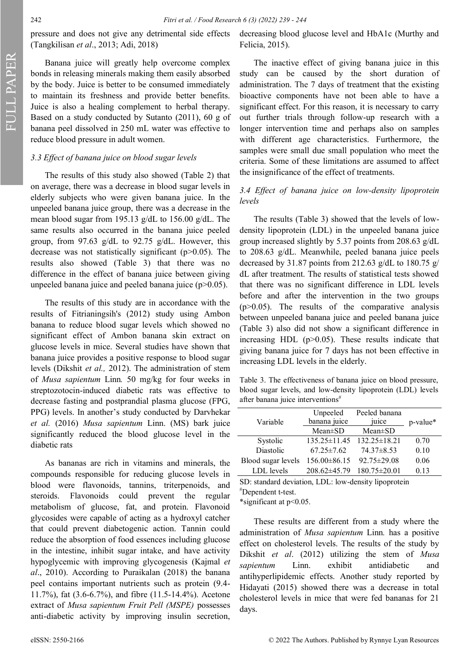pressure and does not give any detrimental side effects (Tangkilisan *et al*., 2013; Adi, 2018)

Banana juice will greatly help overcome complex bonds in releasing minerals making them easily absorbed by the body. Juice is better to be consumed immediately to maintain its freshness and provide better benefits. Juice is also a healing complement to herbal therapy. Based on a study conducted by Sutanto (2011), 60 g of banana peel dissolved in 250 mL water was effective to reduce blood pressure in adult women.

## *3.3 Effect of banana juice on blood sugar levels*

The results of this study also showed (Table 2) that on average, there was a decrease in blood sugar levels in elderly subjects who were given banana juice. In the unpeeled banana juice group, there was a decrease in the mean blood sugar from 195.13 g/dL to 156.00 g/dL. The same results also occurred in the banana juice peeled group, from 97.63 g/dL to 92.75 g/dL. However, this decrease was not statistically significant ( $p$  $>$ 0.05). The results also showed (Table 3) that there was no difference in the effect of banana juice between giving unpeeled banana juice and peeled banana juice (p>0.05).

The results of this study are in accordance with the results of Fitrianingsih's (2012) study using Ambon banana to reduce blood sugar levels which showed no significant effect of Ambon banana skin extract on glucose levels in mice. Several studies have shown that banana juice provides a positive response to blood sugar levels (Dikshit *et al.,* 2012). The administration of stem of *Musa sapientum* Linn*.* 50 mg/kg for four weeks in streptozotocin-induced diabetic rats was effective to decrease fasting and postprandial plasma glucose (FPG, PPG) levels. In another's study conducted by Darvhekar *et al.* (2016) *Musa sapientum* Linn. (MS) bark juice significantly reduced the blood glucose level in the diabetic rats

As bananas are rich in vitamins and minerals, the compounds responsible for reducing glucose levels in blood were flavonoids, tannins, triterpenoids, and steroids. Flavonoids could prevent the regular metabolism of glucose, fat, and protein. Flavonoid glycosides were capable of acting as a hydroxyl catcher that could prevent diabetogenic action. Tannin could reduce the absorption of food essences including glucose in the intestine, inhibit sugar intake, and have activity hypoglycemic with improving glycogenesis (Kajmal *et al*., 2010). According to Puraikalan (2018) the banana peel contains important nutrients such as protein (9.4- 11.7%), fat (3.6-6.7%), and fibre (11.5-14.4%). Acetone extract of *Musa sapientum Fruit Pell (MSPE)* possesses anti-diabetic activity by improving insulin secretion,

decreasing blood glucose level and HbA1c (Murthy and Felicia, 2015).

The inactive effect of giving banana juice in this study can be caused by the short duration of administration. The 7 days of treatment that the existing bioactive components have not been able to have a significant effect. For this reason, it is necessary to carry out further trials through follow-up research with a longer intervention time and perhaps also on samples with different age characteristics. Furthermore, the samples were small due small population who meet the criteria. Some of these limitations are assumed to affect the insignificance of the effect of treatments.

# *3.4 Effect of banana juice on low-density lipoprotein levels*

The results (Table 3) showed that the levels of lowdensity lipoprotein (LDL) in the unpeeled banana juice group increased slightly by 5.37 points from 208.63 g/dL to 208.63 g/dL. Meanwhile, peeled banana juice peels decreased by 31.87 points from 212.63 g/dL to 180.75 g/ dL after treatment. The results of statistical tests showed that there was no significant difference in LDL levels before and after the intervention in the two groups  $(p>0.05)$ . The results of the comparative analysis between unpeeled banana juice and peeled banana juice (Table 3) also did not show a significant difference in increasing HDL  $(p>0.05)$ . These results indicate that giving banana juice for 7 days has not been effective in increasing LDL levels in the elderly.

Table 3. The effectiveness of banana juice on blood pressure, blood sugar levels, and low-density lipoprotein (LDL) levels after banana juice interventions<sup>#</sup>

| Variable           | Unpeeled<br>banana juice       | Peeled banana<br>juice | p-value* |  |
|--------------------|--------------------------------|------------------------|----------|--|
|                    | $Mean \pm SD$<br>$Mean \pm SD$ |                        |          |  |
| Systolic           | $135.25 \pm 11.45$             | $132.25 \pm 18.21$     | 0.70     |  |
| Diastolic          | $67.25 \pm 7.62$               | $74.37\pm8.53$         | 0.10     |  |
| Blood sugar levels | $156.00\pm86.15$               | $92.75 \pm 29.08$      | 0.06     |  |
| LDL levels         | $208.62\pm45.79$               | $180.75 \pm 20.01$     | 0.13     |  |

SD: standard deviation, LDL: low-density lipoprotein #Dependent t-test.

\*significant at p<0.05.

These results are different from a study where the administration of *Musa sapientum* Linn*.* has a positive effect on cholesterol levels. The results of the study by Dikshit *et al*. (2012) utilizing the stem of *Musa sapientum* Linn. exhibit antidiabetic and antihyperlipidemic effects. Another study reported by Hidayati (2015) showed there was a decrease in total cholesterol levels in mice that were fed bananas for 21 days.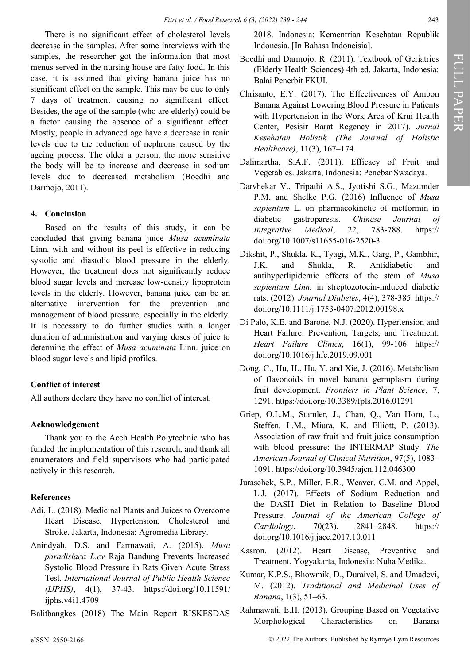There is no significant effect of cholesterol levels decrease in the samples. After some interviews with the samples, the researcher got the information that most menus served in the nursing house are fatty food. In this case, it is assumed that giving banana juice has no significant effect on the sample. This may be due to only 7 days of treatment causing no significant effect. Besides, the age of the sample (who are elderly) could be a factor causing the absence of a significant effect. Mostly, people in advanced age have a decrease in renin levels due to the reduction of nephrons caused by the ageing process. The older a person, the more sensitive the body will be to increase and decrease in sodium levels due to decreased metabolism (Boedhi and Darmojo, 2011).

# **4. Conclusion**

Based on the results of this study, it can be concluded that giving banana juice *Musa acuminata*  Linn. with and without its peel is effective in reducing systolic and diastolic blood pressure in the elderly. However, the treatment does not significantly reduce blood sugar levels and increase low-density lipoprotein levels in the elderly. However, banana juice can be an alternative intervention for the prevention and management of blood pressure, especially in the elderly. It is necessary to do further studies with a longer duration of administration and varying doses of juice to determine the effect of *Musa acuminata* Linn. juice on blood sugar levels and lipid profiles.

# **Conflict of interest**

All authors declare they have no conflict of interest.

## **Acknowledgement**

Thank you to the Aceh Health Polytechnic who has funded the implementation of this research, and thank all enumerators and field supervisors who had participated actively in this research.

# **References**

- Adi, L. (2018). Medicinal Plants and Juices to Overcome Heart Disease, Hypertension, Cholesterol and Stroke. Jakarta, Indonesia: Agromedia Library.
- Anindyah, D.S. and Farmawati, A. (2015). *Musa paradisiaca L.cv* Raja Bandung Prevents Increased Systolic Blood Pressure in Rats Given Acute Stress Test. *International Journal of Public Health Science (IJPHS)*, 4(1), 37-43. https://doi.org/10.11591/ ijphs.v4i1.4709
- Balitbangkes (2018) The Main Report RISKESDAS

2018. Indonesia: Kementrian Kesehatan Republik Indonesia. [In Bahasa Indoneisia].

- Boedhi and Darmojo, R. (2011). Textbook of Geriatrics (Elderly Health Sciences) 4th ed. Jakarta, Indonesia: Balai Penerbit FKUI.
- Chrisanto, E.Y. (2017). The Effectiveness of Ambon Banana Against Lowering Blood Pressure in Patients with Hypertension in the Work Area of Krui Health Center, Pesisir Barat Regency in 2017). *Jurnal Kesehatan Holistik (The Journal of Holistic Healthcare)*, 11(3), 167–174.
- Dalimartha, S.A.F. (2011). Efficacy of Fruit and Vegetables. Jakarta, Indonesia: Penebar Swadaya.
- Darvhekar V., Tripathi A.S., Jyotishi S.G., Mazumder P.M. and Shelke P.G. (2016) Influence of *Musa sapientum* L. on pharmacokinetic of metformin in diabetic gastroparesis. *Chinese Journal of Integrative Medical*, 22, 783-788. https:// doi.org/10.1007/s11655-016-2520-3
- Dikshit, P., Shukla, K., Tyagi, M.K., Garg, P., Gambhir, J.K. and Shukla, R. Antidiabetic and antihyperlipidemic effects of the stem of *Musa sapientum Linn.* in streptozotocin-induced diabetic rats. (2012). *Journal Diabetes*, 4(4), 378-385. https:// doi.org/10.1111/j.1753-0407.2012.00198.x
- Di Palo, K.E. and Barone, N.J. (2020). Hypertension and Heart Failure: Prevention, Targets, and Treatment. *Heart Failure Clinics*, 16(1), 99-106 https:// doi.org/10.1016/j.hfc.2019.09.001
- Dong, C., Hu, H., Hu, Y. and Xie, J. (2016). Metabolism of flavonoids in novel banana germplasm during fruit development. *Frontiers in Plant Science*, 7, 1291. [https://doi.org/10.3389/fpls.2016.01291](about:blank)
- Griep, O.L.M., Stamler, J., Chan, Q., Van Horn, L., Steffen, L.M., Miura, K. and Elliott, P. (2013). Association of raw fruit and fruit juice consumption with blood pressure: the INTERMAP Study. *The American Journal of Clinical Nutrition*, 97(5), 1083– 1091. [https://doi.org/10.3945/ajcn.112.046300](about:blank)
- Juraschek, S.P., Miller, E.R., Weaver, C.M. and Appel, L.J. (2017). Effects of Sodium Reduction and the DASH Diet in Relation to Baseline Blood Pressure. *Journal of the American College of Cardiology*, 70(23), 2841–2848. https:// doi.org/10.1016/j.jacc.2017.10.011
- Kasron. (2012). Heart Disease, Preventive and Treatment. Yogyakarta, Indonesia: Nuha Medika.
- Kumar, K.P.S., Bhowmik, D., Duraivel, S. and Umadevi, M. (2012). *Traditional and Medicinal Uses of Banana*, 1(3), 51–63.
- Rahmawati, E.H. (2013). Grouping Based on Vegetative Morphological Characteristics on Banana